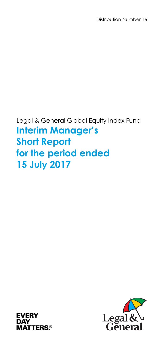Distribution Number 16

Legal & General Global Equity Index Fund **Interim Manager's Short Report for the period ended 15 July 2017** 



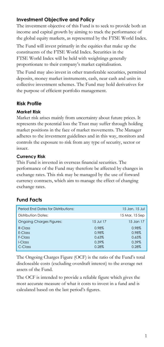# **Investment Objective and Policy**

The investment objective of this Fund is to seek to provide both an income and capital growth by aiming to track the performance of the global equity markets, as represented by the FTSE World Index.

The Fund will invest primarily in the equities that make up the constituents of the FTSE World Index. Securities in the FTSE World Index will be held with weightings generally proportionate to their company's market capitalisation.

The Fund may also invest in other transferable securities, permitted deposits, money market instruments, cash, near cash and units in collective investment schemes. The Fund may hold derivatives for the purpose of efficient portfolio management.

# **Risk Profile**

### **Market Risk**

Market risk arises mainly from uncertainty about future prices. It represents the potential loss the Trust may suffer through holding market positions in the face of market movements. The Manager adheres to the investment guidelines and in this way, monitors and controls the exposure to risk from any type of security, sector or issuer.

### **Currency Risk**

This Fund is invested in overseas financial securities. The performance of the Fund may therefore be affected by changes in exchange rates. This risk may be managed by the use of forward currency contracts, which aim to manage the effect of changing exchange rates.

# **Fund Facts**

|           | 15 Jan, 15 Jul |
|-----------|----------------|
|           | 15 Mar, 15 Sep |
| 15 Jul 17 | 15 Jan 17      |
| 0.98%     | 0.98%          |
| 0.98%     | 0.98%          |
| 0.63%     | 0.65%          |
| $0.39\%$  | $0.39\%$       |
| 0.28%     | 0.28%          |
|           |                |

The Ongoing Charges Figure (OCF) is the ratio of the Fund's total discloseable costs (excluding overdraft interest) to the average net assets of the Fund.

The OCF is intended to provide a reliable figure which gives the most accurate measure of what it costs to invest in a fund and is calculated based on the last period's figures.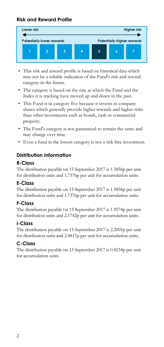# **Risk and Reward Profile**



- This risk and reward profile is based on historical data which may not be a reliable indication of the Fund's risk and reward category in the future.
- The category is based on the rate at which the Fund and the Index it is tracking have moved up and down in the past.
- This Fund is in category five because it invests in company shares which generally provide higher rewards and higher risks than other investments such as bonds, cash or commercial property.
- The Fund's category is not guaranteed to remain the same and may change over time.
- Even a fund in the lowest category is not a risk free investment.

## **Distribution Information**

## **R-Class**

The distribution payable on 15 September 2017 is 1.5856p per unit for distribution units and 1.7376p per unit for accumulation units.

### **E-Class**

The distribution payable on 15 September 2017 is 1.5856p per unit for distribution units and 1.7376p per unit for accumulation units.

### **F-Class**

The distribution payable on 15 September 2017 is 1.9574p per unit for distribution units and 2.1742p per unit for accumulation units.

### **I-Class**

The distribution payable on 15 September 2017 is 2.2001p per unit for distribution units and 2.4817p per unit for accumulation units.

# **C-Class**

The distribution payable on 15 September 2017 is 0.8234p per unit for accumulation units.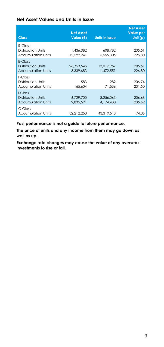### **Net Asset Values and Units in Issue**

| <b>Class</b>                                               | <b>Net Asset</b><br>Value (£) | <b>Units in Issue</b>   | <b>Net Asset</b><br><b>Value per</b><br>Unit $(p)$ |
|------------------------------------------------------------|-------------------------------|-------------------------|----------------------------------------------------|
| R-Class<br>Distribution Units<br><b>Accumulation Units</b> | 1.436.082<br>12,599,241       | 698,782<br>5.555.306    | 205.51<br>226.80                                   |
| F-Class<br>Distribution Units<br><b>Accumulation Units</b> | 26.753.546<br>3.339.683       | 13.017.957<br>1.472.551 | 205.51<br>226.80                                   |
| F-Class<br>Distribution Units<br><b>Accumulation Units</b> | 583<br>165,604                | 282<br>71.536           | 206.74<br>231.50                                   |
| I-Class<br>Distribution Units<br><b>Accumulation Units</b> | 6.729.700<br>9.835.591        | 3,256,063<br>4.174.430  | 206.68<br>235.62                                   |
| C-Class<br><b>Accumulation Units</b>                       | 32.212.253                    | 43.319.513              | 74.36                                              |

**Past performance is not a guide to future performance.** 

**The price of units and any income from them may go down as well as up.** 

**Exchange rate changes may cause the value of any overseas investments to rise or fall.**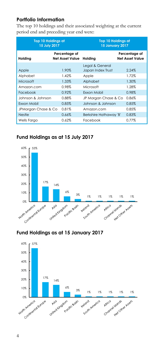# **Portfolio Information**

The top 10 holdings and their associated weighting at the current period end and preceding year end were:

| <b>Top 10 Holdings at</b><br>15 July 2017 |                                         | <b>Top 10 Holdings at</b><br><b>15 January 2017</b> |                                         |
|-------------------------------------------|-----------------------------------------|-----------------------------------------------------|-----------------------------------------|
| Holding                                   | Percentage of<br><b>Net Asset Value</b> | Holding                                             | Percentage of<br><b>Net Asset Value</b> |
| Apple                                     | 1.90%                                   | Legal & General<br>Japan Index Trust                | 2.24%                                   |
| Alphabet                                  | 1.42%                                   | Apple                                               | 1.72%                                   |
| Microsoft                                 | 1.33%                                   | Alphabet                                            | 1.30%                                   |
| Amazon.com                                | 0.98%                                   | Microsoft                                           | 1.28%                                   |
| Facebook                                  | 0.92%                                   | Exxon Mobil                                         | 0.98%                                   |
| Johnson & Johnson                         | 0.88%                                   | JP Morgan Chase & Co                                | 0.86%                                   |
| <b>Fxxon Mobil</b>                        | 0.85%                                   | Johnson & Johnson                                   | 0.85%                                   |
| JPMorgan Chase & Co                       | 0.81%                                   | Amazon.com                                          | 0.85%                                   |
| Nestle                                    | 0.66%                                   | Berkshire Hathaway 'B'                              | 0.83%                                   |
| Wells Fargo                               | 0.62%                                   | Facebook                                            | 0.77%                                   |

# **Fund Holdings as at 15 July 2017**



# **Fund Holdings as at 15 January 2017**

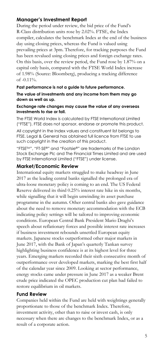## **Manager's Investment Report**

During the period under review, the bid price of the Fund's R-Class distribution units rose by 2.02%. FTSE, the Index compiler, calculates the benchmark Index at the end of the business day using closing prices, whereas the Fund is valued using prevailing prices at 3pm. Therefore, for tracking purposes the Fund has been revalued using closing prices and foreign exchange rates. On this basis, over the review period, the Fund rose by 1.87% on a capital only basis, compared with the FTSE World Index increase of 1.98% (Source: Bloomberg), producing a tracking difference of  $-0.11\%$ .

#### **Past performance is not a guide to future performance.**

**The value of investments and any income from them may go down as well as up.** 

#### **Exchange rate changes may cause the value of any overseas investments to rise or fall.**

The FTSE World Index is calculated by FTSE International Limited ("FTSE"). FTSE does not sponsor, endorse or promote this product.

All copyright in the Index values and constituent list belongs to FTSE. Legal & General has obtained full licence from FTSE to use such copyright in the creation of this product.

"FTSETM", "FT-SE®" and "Footsie®" are trademarks of the London Stock Exchange Plc and The Financial Times Limited and are used by FTSE International Limited ("FTSE") under license.

### **Market/Economic Review**

International equity markets struggled to make headway in June 2017 as the leading central banks signalled the prolonged era of ultra-loose monetary policy is coming to an end. The US Federal Reserve delivered its third 0.25% interest rate hike in six months, while signalling that it will begin unwinding its asset purchase programme in the autumn. Other central banks also gave guidance about the need to remove monetary accommodation with the ECB indicating policy settings will be tailored to improving economic conditions. European Central Bank President Mario Draghi's speech about reflationary forces and possible interest rate increases if business investment rebounds unsettled European equity markets. Japanese stocks outperformed other major markets in June 2017, with the Bank of Japan's quarterly Tankan survey highlighting business confidence is at its highest level for three years. Emerging markets recorded their sixth consecutive month of outperformance over developed markets, marking the best first half of the calendar year since 2009. Looking at sector performance, energy stocks came under pressure in June 2017 as a weaker Brent crude price indicated the OPEC production cut plan had failed to restore equilibrium in oil markets.

### **Fund Review**

Companies held within the Fund are held with weightings generally proportionate to those of the benchmark Index. Therefore, investment activity, other than to raise or invest cash, is only necessary when there are changes to the benchmark Index, or as a result of a corporate action.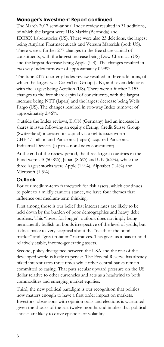# **Manager's Investment Report continued**

The March 2017 semi-annual Index review resulted in 31 additions, of which the largest were IHS Markit (Bermuda) and IDEXX Laboratories (US). There were also 23 deletions, the largest being Alnylam Pharmaceuticals and Versum Materials (both US). There were a further 277 changes to the free share capital of constituents, with the largest increase being Dow Chemical (US) and the largest decrease being Apple (US). The changes resulted in two-way Index turnover of approximately 0.99%.

The June 2017 quarterly Index review resulted in three additions, of which the largest was ConvaTec Group (UK), and seven deletions with the largest being Actelion (US). There were a further 2,153 changes to the free share capital of constituents, with the largest increase being NTT (Japan) and the largest decrease being Wells Fargo (US). The changes resulted in two-way Index turnover of approximately 2.46%.

Outside the Index reviews, E.ON (Germany) had an increase in shares in issue following an equity offering; Credit Suisse Group (Switzerland) increased its capital via a rights issue worth CHF 4.1 billion and Panasonic (Japan) acquired Panasonic Industrial Devices (Japan – non-Index constituent).

At the end of the review period, the three largest countries in the Fund were US (50.8%), Japan (8.6%) and UK (6.2%), while the three largest stocks were Apple (1.9%), Alphabet (1.4%) and Microsoft (1.3%).

# **Outlook**

For our medium-term framework for risk assets, which continues to point to a mildly cautious stance, we have four themes that influence our medium-term thinking.

First among those is our belief that interest rates are likely to be held down by the burden of poor demographics and heavy debt burdens. This "lower for longer" outlook does not imply being permanently bullish on bonds irrespective of the level of yields, but it does make us very sceptical about the "death of the bond market" and "great rotation" narratives. This gives us a bias to hold relatively stable, income-generating assets.

Second, policy divergence between the USA and the rest of the developed world is likely to persist. The Federal Reserve has already hiked interest rates three times while other central banks remain committed to easing. That puts secular upward pressure on the US dollar relative to other currencies and acts as a headwind to both commodities and emerging market equities.

Third, the new political paradigm is our recognition that politics now matters enough to have a first order impact on markets. Investors' obsessions with opinion polls and elections is warranted given the shocks of the last twelve months and implies that political shocks are likely to drive episodes of volatility.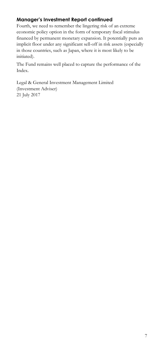# **Manager's Investment Report continued**

Fourth, we need to remember the lingering risk of an extreme economic policy option in the form of temporary fiscal stimulus financed by permanent monetary expansion. It potentially puts an implicit floor under any significant sell-off in risk assets (especially in those countries, such as Japan, where it is most likely to be initiated).

The Fund remains well placed to capture the performance of the Index.

Legal & General Investment Management Limited (Investment Adviser) 21 July 2017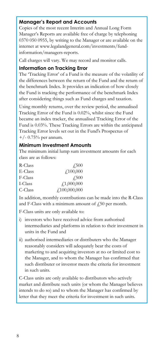## **Manager's Report and Accounts**

Copies of the most recent Interim and Annual Long Form Manager's Reports are available free of charge by telephoning 0370 050 0955, by writing to the Manager or are available on the internet at www.legalandgeneral.com/investments/fundinformation/managers-reports.

Call charges will vary. We may record and monitor calls.

### **Information on Tracking Error**

The 'Tracking Error' of a Fund is the measure of the volatility of the differences between the return of the Fund and the return of the benchmark Index. It provides an indication of how closely the Fund is tracking the performance of the benchmark Index after considering things such as Fund charges and taxation.

Using monthly returns, over the review period, the annualised Tracking Error of the Fund is 0.02%, whilst since the Fund became an index tracker, the annualised Tracking Error of the Fund is 0.03%. These Tracking Errors are within the anticipated Tracking Error levels set out in the Fund's Prospectus of  $+/- 0.75\%$  per annum.

### **Minimum Investment Amounts**

The minimum initial lump sum investment amounts for each class are as follows:

| R-Class | 4.500              |
|---------|--------------------|
| E-Class | $\angle 100,000$   |
| F-Class | 4.500              |
| I-Class | f1,000,000         |
| C-Class | $f_{.}100,000,000$ |

In addition, monthly contributions can be made into the R-Class and F-Class with a minimum amount of  $f<sub>1</sub>50$  per month.

F-Class units are only available to:

- i) investors who have received advice from authorised intermediaries and platforms in relation to their investment in units in the Fund and
- ii) authorised intermediaries or distributers who the Manager reasonably considers will adequately bear the costs of marketing to and acquiring investors at no or limited cost to the Manager, and to whom the Manager has confirmed that such distributer or investor meets the criteria for investment in such units.

C-Class units are only available to distributors who actively market and distribute such units (or whom the Manager believes intends to do so) and to whom the Manager has confirmed by letter that they meet the criteria for investment in such units.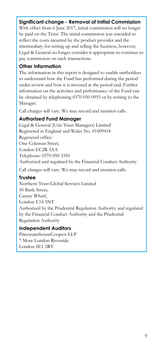## **Significant change - Removal of Initial Commission**

With effect from 6 June 2017, initial commission will no longer be paid on the Trust. The initial commission was intended to reflect the costs incurred by the product provider and the intermediary for setting up and selling the business, however, Legal & General no longer consider it appropriate to continue to pay commission on such transactions.

## **Other Information**

The information in this report is designed to enable unitholders to understand how the Fund has performed during the period under review and how it is invested at the period end. Further information on the activities and performance of the Fund can be obtained by telephoning 0370 050 0955 or by writing to the Manager.

Call charges will vary. We may record and monitor calls.

# **Authorised Fund Manager**

Legal & General (Unit Trust Managers) Limited Registered in England and Wales No. 01009418 Registered office: One Coleman Street, London EC2R 5AA Telephone: 0370 050 3350 Authorised and regulated by the Financial Conduct Authority

Call charges will vary. We may record and monitor calls.

# **Trustee**

Northern Trust Global Services Limited 50 Bank Street, Canary Wharf, London E14 5NT Authorised by the Prudential Regulation Authority and regulated by the Financial Conduct Authority and the Prudential Regulation Authority

# **Independent Auditors**

PricewaterhouseCoopers LLP 7 More London Riverside London SE1 2RT